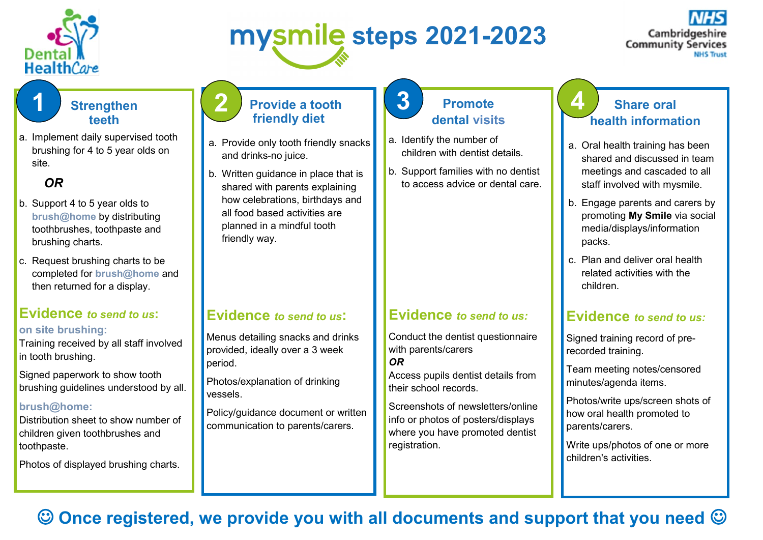

# **steps 2021-2023**

Cambridgeshire **Community Services** 

### **Strengthen teeth**

a. Implement daily supervised tooth brushing for 4 to 5 year olds on site.

## *OR*

- b. Support 4 to 5 year olds to **brush@home** by distributing toothbrushes, toothpaste and brushing charts.
- c. Request brushing charts to be completed for **brush@home** and then returned for a display.

# **Evidence** *to send to us***:**

#### **on site brushing:**

Training received by all staff involved in tooth brushing.

Signed paperwork to show tooth brushing guidelines understood by all.

#### **brush@home:**

Distribution sheet to show number of children given toothbrushes and toothpaste.

Photos of displayed brushing charts.

#### **Provide a tooth friendly diet 1 d 2 Provide a tooth 1 3 Promote 1 4**

- a. Provide only tooth friendly snacks and drinks-no juice.
- b. Written guidance in place that is shared with parents explaining how celebrations, birthdays and all food based activities are planned in a mindful tooth friendly way.

## **Evidence** *to send to us***:**

Menus detailing snacks and drinks provided, ideally over a 3 week period.

Photos/explanation of drinking vessels.

Policy/guidance document or written communication to parents/carers.

## **Promote dental visits**

- a. Identify the number of children with dentist details.
- b. Support families with no dentist to access advice or dental care.

#### **Evidence** *to send to us:*

Conduct the dentist questionnaire with parents/carers *OR*

Access pupils dentist details from their school records.

Screenshots of newsletters/online info or photos of posters/displays where you have promoted dentist registration.

### **Share oral health information**

- a. Oral health training has been shared and discussed in team meetings and cascaded to all staff involved with mysmile.
- b. Engage parents and carers by promoting **My Smile** via social media/displays/information packs.
- c. Plan and deliver oral health related activities with the children.

#### **Evidence** *to send to us:*

Signed training record of prerecorded training.

Team meeting notes/censored minutes/agenda items.

Photos/write ups/screen shots of how oral health promoted to parents/carers.

Write ups/photos of one or more children's activities.

# **Once registered, we provide you with all documents and support that you need**